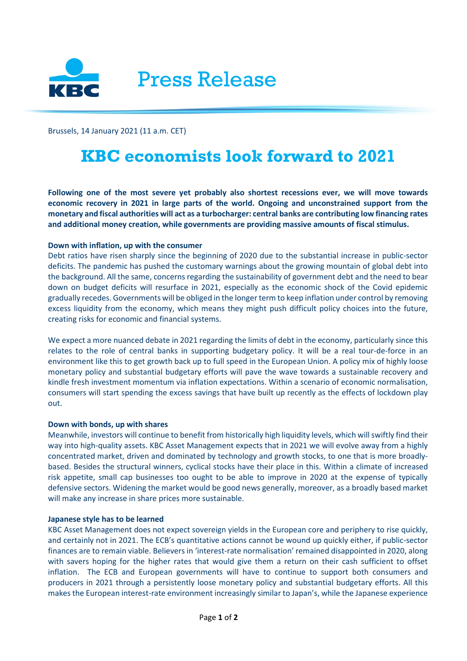

Brussels, 14 January 2021 (11 a.m. CET)

# **KBC economists look forward to 2021**

**Following one of the most severe yet probably also shortest recessions ever, we will move towards economic recovery in 2021 in large parts of the world. Ongoing and unconstrained support from the monetary and fiscal authorities will act as a turbocharger: central banks are contributing low financing rates and additional money creation, while governments are providing massive amounts of fiscal stimulus.**

## **Down with inflation, up with the consumer**

Debt ratios have risen sharply since the beginning of 2020 due to the substantial increase in public-sector deficits. The pandemic has pushed the customary warnings about the growing mountain of global debt into the background. All the same, concerns regarding the sustainability of government debt and the need to bear down on budget deficits will resurface in 2021, especially as the economic shock of the Covid epidemic gradually recedes. Governments will be obliged in the longer term to keep inflation under control by removing excess liquidity from the economy, which means they might push difficult policy choices into the future, creating risks for economic and financial systems.

We expect a more nuanced debate in 2021 regarding the limits of debt in the economy, particularly since this relates to the role of central banks in supporting budgetary policy. It will be a real tour-de-force in an environment like this to get growth back up to full speed in the European Union. A policy mix of highly loose monetary policy and substantial budgetary efforts will pave the wave towards a sustainable recovery and kindle fresh investment momentum via inflation expectations. Within a scenario of economic normalisation, consumers will start spending the excess savings that have built up recently as the effects of lockdown play out.

## **Down with bonds, up with shares**

Meanwhile, investors will continue to benefit from historically high liquidity levels, which will swiftly find their way into high-quality assets. KBC Asset Management expects that in 2021 we will evolve away from a highly concentrated market, driven and dominated by technology and growth stocks, to one that is more broadlybased. Besides the structural winners, cyclical stocks have their place in this. Within a climate of increased risk appetite, small cap businesses too ought to be able to improve in 2020 at the expense of typically defensive sectors. Widening the market would be good news generally, moreover, as a broadly based market will make any increase in share prices more sustainable.

## **Japanese style has to be learned**

KBC Asset Management does not expect sovereign yields in the European core and periphery to rise quickly, and certainly not in 2021. The ECB's quantitative actions cannot be wound up quickly either, if public-sector finances are to remain viable. Believers in 'interest-rate normalisation' remained disappointed in 2020, along with savers hoping for the higher rates that would give them a return on their cash sufficient to offset inflation. The ECB and European governments will have to continue to support both consumers and producers in 2021 through a persistently loose monetary policy and substantial budgetary efforts. All this makes the European interest-rate environment increasingly similar to Japan's, while the Japanese experience